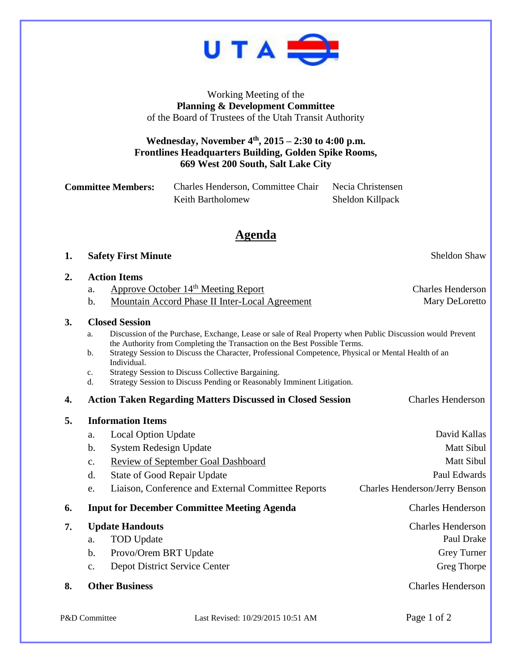

Working Meeting of the **Planning & Development Committee** of the Board of Trustees of the Utah Transit Authority

### **Wednesday, November 4 th , 2015 – 2:30 to 4:00 p.m. Frontlines Headquarters Building, Golden Spike Rooms, 669 West 200 South, Salt Lake City**

| <b>Committee Members:</b> | Charles Henderson, Committee Chair | Necia Christensen |
|---------------------------|------------------------------------|-------------------|
|                           | Keith Bartholomew                  | Sheldon Killpack  |

## **Agenda**

#### **1. Safety First Minute** Sheldon Shaw

#### **2. Action Items**

- a. Approve October 14<sup>th</sup> Meeting Report Charles Henderson
- b. Mountain Accord Phase II Inter-Local Agreement Mary DeLoretto

#### **3. Closed Session**

| Discussion of the Purchase, Exchange, Lease or sale of Real Property when Public Discussion would Prevent |
|-----------------------------------------------------------------------------------------------------------|
| the Authority from Completing the Transaction on the Best Possible Terms.                                 |
| Strategy Session to Discuss the Character Professional Competence Physical or Mental Health of an         |

- b. Strategy Session to Discuss the Character, Professional Competence, Physical or Mental Health of an Individual.
- c. Strategy Session to Discuss Collective Bargaining.
- d. Strategy Session to Discuss Pending or Reasonably Imminent Litigation.
- **4. Action Taken Regarding Matters Discussed in Closed Session** Charles Henderson

| 5. | <b>Information Items</b> |                                                    |                                       |  |
|----|--------------------------|----------------------------------------------------|---------------------------------------|--|
|    | a.                       | <b>Local Option Update</b>                         | David Kallas                          |  |
|    | b.                       | System Redesign Update                             | Matt Sibul                            |  |
|    | $\mathbf{C}$ .           | <b>Review of September Goal Dashboard</b>          | Matt Sibul                            |  |
|    | d.                       | <b>State of Good Repair Update</b>                 | Paul Edwards                          |  |
|    | e.                       | Liaison, Conference and External Committee Reports | <b>Charles Henderson/Jerry Benson</b> |  |
| 6. |                          | <b>Input for December Committee Meeting Agenda</b> | <b>Charles Henderson</b>              |  |
| 7. |                          | <b>Update Handouts</b>                             | <b>Charles Henderson</b>              |  |
|    | a.                       | <b>TOD</b> Update                                  | Paul Drake                            |  |
|    | b.                       | Provo/Orem BRT Update                              | <b>Grey Turner</b>                    |  |
|    | $C_{\bullet}$            | Depot District Service Center                      | Greg Thorpe                           |  |
| 8. |                          | <b>Other Business</b>                              | <b>Charles Henderson</b>              |  |

P&D Committee Last Revised: 10/29/2015 10:51 AM Page 1 of 2